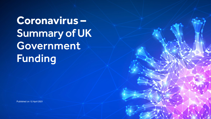**Coronavirus –**  Summary of UK Government Funding

Published on 12 April 2021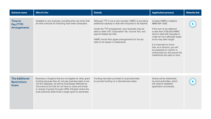| <b>Scheme name</b>                                    | Who it's for                                                                                                                                                                                                                                                                                                                                         | <b>Details</b>                                                                                                                                                                                                                                                                                                                                     | <b>Application process</b>                                                                                                                                                                                                                                                                                                                                     | <b>Website link</b> |
|-------------------------------------------------------|------------------------------------------------------------------------------------------------------------------------------------------------------------------------------------------------------------------------------------------------------------------------------------------------------------------------------------------------------|----------------------------------------------------------------------------------------------------------------------------------------------------------------------------------------------------------------------------------------------------------------------------------------------------------------------------------------------------|----------------------------------------------------------------------------------------------------------------------------------------------------------------------------------------------------------------------------------------------------------------------------------------------------------------------------------------------------------------|---------------------|
| Time to<br>Pay (TTP)<br><b>Arrangements</b>           | Available to any business, providing they can show that<br>all other avenues for financing have been exhausted.                                                                                                                                                                                                                                      | Although TTP is not a new concept, HMRC is providing<br>additional capacity to deal with enquiries to its helpline.<br>Under the TTP arrangement, your business may be<br>able to defer VAT, Corporation Tax, Income Tax, and<br>payroll-related tax bills.<br>HMRC would then agree arrangements for the tax<br>debt to be repaid in instalments. | Contact HMRC's helpline:<br>0800 024 1222.<br>If the sum to be deferred<br>is less than £750,000 HMRC<br>aims to deal with requests in<br>under an hour although larger<br>sums may take longer.<br>It is important to know<br>that, as a director, you will<br>be expected to confirm in<br>writing that you will ensure the<br>instalments are paid on time. |                     |
| <b>The Additional</b><br><b>Restrictions</b><br>Grant | Business in England that are not eligible for other grant<br>funding because they do not pay business rates or are<br>not the ratepayer, as well as businesses affected by<br>Coronavirus but that do not have to close and those<br>in receipt of grants through LRSG (Closed) where the<br>local authority determines a larger grant is warranted. | Funding has been provided to local authorities<br>to provide funding on a discretionary basis.                                                                                                                                                                                                                                                     | Grants will be distributed<br>by local authorities, which<br>will need to establish<br>application processes.                                                                                                                                                                                                                                                  |                     |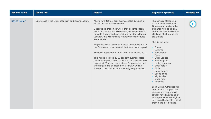| <b>Scheme name</b>  | Who it's for                                               | <b>Details</b>                                                                                                                                                                                                                                                                                                                                                                                                                                                                                                                                                                                                                                                                                                                                                                                                   | <b>Application process</b>                                                                                                                                                                                                                                                                                                                                                                                                                                                                                                                                                                                                                                                    | <b>Website link</b> |
|---------------------|------------------------------------------------------------|------------------------------------------------------------------------------------------------------------------------------------------------------------------------------------------------------------------------------------------------------------------------------------------------------------------------------------------------------------------------------------------------------------------------------------------------------------------------------------------------------------------------------------------------------------------------------------------------------------------------------------------------------------------------------------------------------------------------------------------------------------------------------------------------------------------|-------------------------------------------------------------------------------------------------------------------------------------------------------------------------------------------------------------------------------------------------------------------------------------------------------------------------------------------------------------------------------------------------------------------------------------------------------------------------------------------------------------------------------------------------------------------------------------------------------------------------------------------------------------------------------|---------------------|
| <b>Rates Relief</b> | Businesses in the retail, hospitality and leisure sectors. | Allows for a 100 per cent business rates discount for<br>all businesses in these sectors.<br>Unoccupied properties where they become vacant<br>in the next 12 months will be charged 100 per cent full<br>rate after three months of void rate holiday following<br>vacation, this will continue to apply unless the rules<br>are amended.<br>Properties which have had to close temporarily due to<br>the Coronavirus measures will be treated as occupied.<br>The relief applies from 1 April 2020 until 30 June 2021.<br>This will be followed by 66 per cent business rates<br>relief for the period from 1 July 2021 to 31 March 2022,<br>capped at £2 million per business for properties that<br>were required to be closed on 5 January 2021, or<br>£105,000 per business for other eligible properties. | The Ministry of Housing,<br>Communities and Local<br>Government has issued a<br>quidance note to all local<br>authorities on this discount,<br>clarifying which properties<br>are eligible.<br>This list includes:<br>• Shops<br>• Cinemas<br>• Restaurants<br>• Gyms<br>• Music venues<br>• Estate agents<br>• Letting agencies<br>• Small hotels<br>$-B&Bs$<br>• Guest houses<br>• Sports clubs<br>• Night clubs<br>• Bingo halls<br>• Nurseries<br>Local Billing Authorities will<br>administer the application<br>process and they should<br>already have knowledge of<br>which properties are eligible,<br>so it would be best to contact<br>them in the first instance. |                     |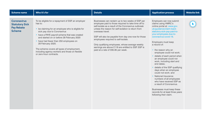| <b>Scheme name</b>                                                                | Who it's for                                                                                                                                                                                                                                                                                                                                                                                                                              | <b>Details</b>                                                                                                                                                                                                                                                                                                                                                                                                                                                                            | <b>Application process</b>                                                                                                                                                                                                                                                                                                                                                                                                                                                                                                                                                                                                                                                           | <b>Website link</b> |
|-----------------------------------------------------------------------------------|-------------------------------------------------------------------------------------------------------------------------------------------------------------------------------------------------------------------------------------------------------------------------------------------------------------------------------------------------------------------------------------------------------------------------------------------|-------------------------------------------------------------------------------------------------------------------------------------------------------------------------------------------------------------------------------------------------------------------------------------------------------------------------------------------------------------------------------------------------------------------------------------------------------------------------------------------|--------------------------------------------------------------------------------------------------------------------------------------------------------------------------------------------------------------------------------------------------------------------------------------------------------------------------------------------------------------------------------------------------------------------------------------------------------------------------------------------------------------------------------------------------------------------------------------------------------------------------------------------------------------------------------------|---------------------|
| <b>Coronavirus</b><br><b>Statutory Sick</b><br><b>Pay Rebate</b><br><b>Scheme</b> | To be eligible for a repayment of SSP, an employer<br>has to:<br>• be claiming for an employee who is eligible for<br>sick pay due to Coronavirus<br>• have a PAYE payroll scheme that was created<br>and started on or before 28 February 2020<br>• have had fewer than 250 employees on<br>28 February 2020.<br>The scheme covers all types of employment,<br>including agency workers and those on flexible<br>or zero-hour contracts. | Businesses can reclaim up to two weeks of SSP per<br>employee paid to those required to take time off to<br>self-isolate as a result of the Coronavirus outbreak<br>unless the reason for self-isolation is return from<br>overseas travel.<br>SSP will also be payable from day one now for those<br>employees required to self-isolate.<br>Only qualifying employees, whose average weekly<br>earnings are above £118 are entitled to SSP. SSP is<br>paid at a rate of £95.85 per week. | Employers can now submit<br>claims using HMRC's<br>online portal at: www.gov.<br>uk/quidance/claim-back-<br>statutory-sick-pay-paid-to-<br>your-employees-due-to-<br>coronavirus-covid-19.<br>Employers must keep<br>a record of:<br>• the reason why an<br>employee could not work;<br>• details of each period when<br>an employee could not<br>work, including start and<br>end dates:<br>• details of the SSP qualifying<br>days when an employee<br>could not work: and<br>• National Insurance<br>numbers of all employees<br>who have received SSP as<br>a result of Coronavirus.<br>Businesses must keep these<br>records for at least three years<br>following their claim. |                     |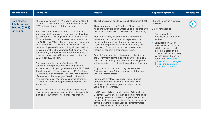| <b>Scheme name</b>                                                                     | Who it's for                                                                                                                                                                                                                                                                                                                                                                                                                                                                                                                                                                                                                                                                                                                                                                                                                                                                                                                                                                                                                                                                                                                                                                                                                                                                                                                                                      | <b>Details</b>                                                                                                                                                                                                                                                                                                                                                                                                                                                                                                                                                                                                                                                                                                                                                                                                                                                                                                                                                                                                                                                                                                                                                                                                                                                                                                                                                                                                | <b>Application process</b>                                                                                                                                                                                                                                                                                                                                                                                        | <b>Website link</b> |
|----------------------------------------------------------------------------------------|-------------------------------------------------------------------------------------------------------------------------------------------------------------------------------------------------------------------------------------------------------------------------------------------------------------------------------------------------------------------------------------------------------------------------------------------------------------------------------------------------------------------------------------------------------------------------------------------------------------------------------------------------------------------------------------------------------------------------------------------------------------------------------------------------------------------------------------------------------------------------------------------------------------------------------------------------------------------------------------------------------------------------------------------------------------------------------------------------------------------------------------------------------------------------------------------------------------------------------------------------------------------------------------------------------------------------------------------------------------------|---------------------------------------------------------------------------------------------------------------------------------------------------------------------------------------------------------------------------------------------------------------------------------------------------------------------------------------------------------------------------------------------------------------------------------------------------------------------------------------------------------------------------------------------------------------------------------------------------------------------------------------------------------------------------------------------------------------------------------------------------------------------------------------------------------------------------------------------------------------------------------------------------------------------------------------------------------------------------------------------------------------------------------------------------------------------------------------------------------------------------------------------------------------------------------------------------------------------------------------------------------------------------------------------------------------------------------------------------------------------------------------------------------------|-------------------------------------------------------------------------------------------------------------------------------------------------------------------------------------------------------------------------------------------------------------------------------------------------------------------------------------------------------------------------------------------------------------------|---------------------|
| <b>Coronavirus</b><br><b>Job Retention</b><br><b>Scheme (CJRS)</b><br><b>Extension</b> | All UK employers with a PAYE payroll scheme started<br>on or before 30 October 2020, which are enrolled for<br>PAYE online and have a UK bank account.<br>For periods from 1 November 2020 to 30 April 2021,<br>you can claim for employees who were employed on<br>30 October 2020, as long as you have made a PAYE<br>RTI submission to HMRC between the 20 March 2020<br>and 30 October 2020, notifying a payment of earnings<br>for that employee. This may differ where you have<br>made employees redundant, or they stopped working<br>for you on or after 23 September 2020 and you have<br>subsequently re-employed them. You do not need to<br>have previously claimed for an employee before the<br>30 October 2020 to claim.<br>For periods starting on or after 1 May 2021, you<br>can claim for employees who were employed on<br>2 March 2021, as long as you have made a PAYE Real<br>Time Information (RTI) submission to HMRC between<br>20 March 2020 and 2 March 2021, notifying a payment<br>of earnings for that employee. You do not need to<br>have previously claimed for an employee before the<br>2 March 2021 to claim for periods starting on or after<br>1 May 2021.<br>Since 1 December 2020, employers can no longer<br>claim for employees serving statutory notice periods,<br>including redundancy, retirement or resignation. | The scheme is now due to close on 30 September 2021.<br>The extension of the CJRS will see 80 per cent of<br>furloughed workers' usual wages up to a cap of £2,500<br>per month per employee covered up until 30 January.<br>From 1 July 2021, the amount contributed by the<br>Government will be reduced to 70 per cent of a<br>furloughed workers' usual wages up to a cap of<br>£2,187.50. Employers will be expected to pay the<br>remaining 10 per cent so that workers continue to<br>receive 80 per cent of their regular wage.<br>From 1 August until the scheme ends in September<br>the Government contribution will be 60 per cent of a<br>worker's regular wage, capped at £1,875. Employers<br>will be expected to contribute the remaining 20 per cent.<br>Employers must continue to pay the associated<br>National Insurance (NI) and pension contributions<br>until the scheme closes.<br>Furloughed employees can work reduced hours<br>under the terms of the extended scheme, with<br>employers able to claim grants in respect of their<br>usual hours not worked.<br>HMRC now publishes details online of claims from<br>December 2020 onwards, including employer names,<br>company reference numbers (if applicable) and an<br>indication of the amount claimed. The only exemption<br>to this is where the publication of claim information<br>would risk violence or intimidation. | The Scheme is administered<br>by HMRC.<br>Employers need to:<br>Designate affected<br>employees as 'furloughed<br>workers'.<br>• Calculate the value of<br>their claim in accordance<br>with the quidance and<br>the current stage of the<br>scheme, before submitting<br>claims through the online<br>portal here: www.gov.uk/<br>guidance/claim-for-wages-<br>through-the-coronavirus-<br>job-retention-scheme. |                     |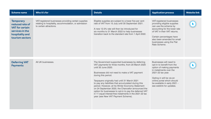| <b>Scheme name</b>                                                                                                     | Who it's for                                                                                                                            | <b>Details</b>                                                                                                                                                                                                                                                                                                                                                                                                                                                                                                                                                                     | <b>Application process</b>                                                                                                                                                                                                                                 | <b>Website link</b> |
|------------------------------------------------------------------------------------------------------------------------|-----------------------------------------------------------------------------------------------------------------------------------------|------------------------------------------------------------------------------------------------------------------------------------------------------------------------------------------------------------------------------------------------------------------------------------------------------------------------------------------------------------------------------------------------------------------------------------------------------------------------------------------------------------------------------------------------------------------------------------|------------------------------------------------------------------------------------------------------------------------------------------------------------------------------------------------------------------------------------------------------------|---------------------|
| <b>Temporary</b><br>reduced rate of<br><b>VAT</b> for certain<br>services in the<br>hospitality and<br>tourism sectors | VAT-registered businesses providing certain supplies<br>relating to hospitality, accommodation, or admission<br>to certain attractions. | Eligible supplies are subject to a lower five per cent<br>rate of VAT from 15 July until 30 September 2021.<br>A new 12.5% rate will then be introduced for<br>six months to 31 March 2022 to help businesses<br>transition back to the standard rate from 1 April 2022.                                                                                                                                                                                                                                                                                                           | VAT-registered businesses<br>providing eligible supplies<br>can use the scheme by<br>accounting for the lower rate<br>of VAT in their VAT returns.<br>Certain percentages have<br>also been amended for small<br>businesses using the Flat<br>Rate Scheme. |                     |
| <b>Deferring VAT</b><br><b>Payments</b>                                                                                | All UK businesses.                                                                                                                      | The Government supported businesses by deferring<br>VAT payments for three months, from 20 March 2020<br>until 30 June 2020.<br>Businesses did not need to make a VAT payment<br>during this period.<br>Taxpayers originally had until 31 March 2021<br>to pay any liabilities that accumulated during this<br>period. However, at his Winter Economy Statement<br>on 24 September 2020, the Chancellor announced the<br>option for businesses to opt-in to pay the deferred VAT<br>in 11 equal interest-free instalments in the 2021-22 tax<br>year (see New VAT Payment Scheme). | Businesses will need to<br>opt-in to benefit from the<br>option of making payments<br>in instalments over the<br>2021-22 tax year.<br>Opting in will be via an<br>online portal which should<br>be available in early 2021 -<br>see weblink for updates.   |                     |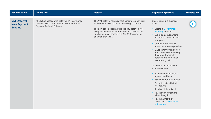| <b>Scheme name</b>                                         | Who it's for                                                                                                         | <b>Details</b>                                                                                                                                                                                                                                                                           | <b>Application process</b>                                                                                                                                                                                                                                                                                                                                                                                                                                                                                                                                                                                                                                                             | <b>Website link</b> |
|------------------------------------------------------------|----------------------------------------------------------------------------------------------------------------------|------------------------------------------------------------------------------------------------------------------------------------------------------------------------------------------------------------------------------------------------------------------------------------------|----------------------------------------------------------------------------------------------------------------------------------------------------------------------------------------------------------------------------------------------------------------------------------------------------------------------------------------------------------------------------------------------------------------------------------------------------------------------------------------------------------------------------------------------------------------------------------------------------------------------------------------------------------------------------------------|---------------------|
| <b>VAT Deferral</b><br><b>New Payment</b><br><b>Scheme</b> | All UK businesses who deferred VAT payments<br>between March and June 2020 under the VAT<br>Payment Deferral Scheme. | The VAT deferral new payment scheme is open from<br>23 February 2021 up to and including 21 June 2021.<br>The new scheme lets a business pay deferred VAT<br>in equal instalments, interest-free and choose the<br>number of instalments, from 2 to 11 (depending<br>on when they join). | Before joining, a business<br>must:<br>• Create a Government<br>Gateway account<br>• Submit any outstanding<br>VAT returns from the last<br>four years<br>• Correct errors on VAT<br>returns as soon as possible<br>• Make sure they know how<br>much they owe, including<br>the amount originally<br>deferred and how much<br>has already paid<br>To use the online service,<br>a business must:<br>• Join the scheme itself -<br>agents can't help<br>• Have deferred VAT to pay<br>• Be up to date with their<br>VAT returns<br>• Join by 21 June 2021<br>• Pay the first instalment<br>when they join<br>• Pay instalments by<br><b>Direct Debit (alternative</b><br>entry route). |                     |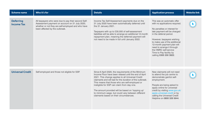| <b>Scheme name</b>                    | Who it's for                                                                                                                                                                                   | <b>Details</b>                                                                                                                                                                                                                                                                                                                                                                                                                                                                      | <b>Application process</b>                                                                                                                                                                                                                                                                                                                                        | <b>Website link</b> |
|---------------------------------------|------------------------------------------------------------------------------------------------------------------------------------------------------------------------------------------------|-------------------------------------------------------------------------------------------------------------------------------------------------------------------------------------------------------------------------------------------------------------------------------------------------------------------------------------------------------------------------------------------------------------------------------------------------------------------------------------|-------------------------------------------------------------------------------------------------------------------------------------------------------------------------------------------------------------------------------------------------------------------------------------------------------------------------------------------------------------------|---------------------|
| <b>Deferring</b><br><b>Income Tax</b> | All taxpayers who were due to pay their second Self-<br>Assessment payment on account on 31 July 2020,<br>whether or not they are self-employed and who have<br>been affected by the outbreak. | Income Tax Self-Assessment payments due on the<br>31 July 2020 have been automatically deferred until<br>the 31 January 2021.<br>Taxpayers with up to £30,000 of self-assessment<br>liabilities will be able to arrange an additional 12-month<br>repayment plan, meaning the deferred payment will<br>not need to be made in full until January 2022.                                                                                                                              | This was an automatic offer<br>with no applications required.<br>No penalties or interest for<br>late payment will be charged<br>in the deferral period.<br>However, taxpayers wishing<br>to make use of the additional<br>12-month payment plan will<br>need to arrange it through<br>the HMRC self-service<br>Time to Pay facility by<br>calling 0300 200 3822. |                     |
| <b>Universal Credit</b>               | Self-employed and those not eligible for SSP.                                                                                                                                                  | Since 6 April 2020, the requirements of the Minimum<br>Income Floor have been relaxed until the end of April<br>2021. This change applies to all Universal Credit<br>claimants and will last for the duration of the outbreak.<br>This means that those who are self-employed or<br>ineligible for SSP can claim from day one.<br>The amount provided will be based on 'topping up'<br>to minimum wage, but could vary between different<br>claimants based on their circumstances. | New claimants will not need<br>to attend the job centre to<br>demonstrate gainful self-<br>employment.<br>People are being asked to<br>apply online for universal<br>credit by visiting www.gov.uk/<br>apply-universal-credit or by<br>calling the Universal Credit<br>Helpline on 0800 328 5644.                                                                 |                     |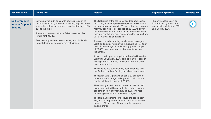| <b>Scheme name</b>                                      | Who it's for                                                                                                                                                                                                                                                                                                                                                              | <b>Details</b>                                                                                                                                                                                                                                                                                                                                                                                                                                                                                                                                                                                                                                                                                                                                                                                                                                                                                                                                                                                                                                                                                                                                                                                                                                                                                                                                                                                                                                                                         | <b>Application process</b>                                                                                        | <b>Website link</b> |
|---------------------------------------------------------|---------------------------------------------------------------------------------------------------------------------------------------------------------------------------------------------------------------------------------------------------------------------------------------------------------------------------------------------------------------------------|----------------------------------------------------------------------------------------------------------------------------------------------------------------------------------------------------------------------------------------------------------------------------------------------------------------------------------------------------------------------------------------------------------------------------------------------------------------------------------------------------------------------------------------------------------------------------------------------------------------------------------------------------------------------------------------------------------------------------------------------------------------------------------------------------------------------------------------------------------------------------------------------------------------------------------------------------------------------------------------------------------------------------------------------------------------------------------------------------------------------------------------------------------------------------------------------------------------------------------------------------------------------------------------------------------------------------------------------------------------------------------------------------------------------------------------------------------------------------------------|-------------------------------------------------------------------------------------------------------------------|---------------------|
| Self-employed<br><b>Income Support</b><br><b>Scheme</b> | Self-employed individuals with trading profits of no<br>more than £50,000, who receive the majority of income<br>from self-employment and who have lost trading profits<br>due to the crisis.<br>They must have submitted a Self-Assessment Tax<br>Return for 2018-19.<br>People who pay themselves a salary and dividends<br>through their own company are not eligible. | The first round of the scheme closed for applications<br>on 13 July 2020 and paid self-employed individuals an<br>amount equivalent to up to 80 per cent of their average<br>monthly trading profits, capped at £2,500, to cover<br>the three months from March 2020. The amount was<br>paid in a single lump-sum based upon tax returns from<br>2016-17, 2017-18 and 2018-19.<br>A second round of funding was launched in August<br>2020, and paid self-employed individuals up to 70 per<br>cent of the average monthly trading profits, capped<br>at £6,570 over three months, but paid in a single<br>instalment.<br>A third round, open for application from 30 November<br>2020 until 29 January 2021, paid up to 80 per cent of<br>average monthly trading profits, capped at £7,500<br>over three months.<br>The scheme has subsequently been extended and<br>two further rounds of funding have been announced.<br>The fourth SEISS grant will be set at 80 per cent of<br>three months' average trading profits, paid out in a<br>single instalment, capped at £7,500.<br>The fourth grant will take into account 2019 to 2020<br>tax returns and will be open to those who became<br>self-employed in tax year 2019 to 2020. The rest<br>of the eligibility criteria remain unchanged.<br>The fifth grant is intended to 'cover' the period from<br>May 2021 to September 2021 and will be calculated<br>based on 80 per cent of three months' average<br>trading profits. | The online claims service<br>for the fourth grant will be<br>available from late April 2021<br>until 31 May 2021. |                     |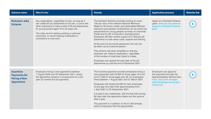| <b>Scheme name</b>                                                                  | Who it's for                                                                                                                                                                                                                                                                                                                                  | <b>Details</b>                                                                                                                                                                                                                                                                                                                                                                                                                                                                                                                                                                                                                                                                                                                                                                      | <b>Application process</b>                                                                                                                                       | <b>Website link</b> |
|-------------------------------------------------------------------------------------|-----------------------------------------------------------------------------------------------------------------------------------------------------------------------------------------------------------------------------------------------------------------------------------------------------------------------------------------------|-------------------------------------------------------------------------------------------------------------------------------------------------------------------------------------------------------------------------------------------------------------------------------------------------------------------------------------------------------------------------------------------------------------------------------------------------------------------------------------------------------------------------------------------------------------------------------------------------------------------------------------------------------------------------------------------------------------------------------------------------------------------------------------|------------------------------------------------------------------------------------------------------------------------------------------------------------------|---------------------|
| <b>Kickstart Jobs</b><br><b>Scheme</b>                                              | Any organisation, regardless of size, as long as it<br>can create 30 job placements on its own, or joins with<br>other employers to make a total of 30 job placements,<br>for young people aged 16 to 24 years old.<br>The roles cannot replace existing or planned<br>vacancies, or cause existing employees or<br>contractors to lose work. | The Kickstart Scheme provides funding to cover<br>100 per cent of the relevant National Minimum<br>Wage for 25 hours a week, plus associated National<br>Insurance and pension contributions, for six-month job<br>placements for young people currently on Universal<br>Credit and at risk of long-term unemployment.<br>Employers will also receive a grant of £1,500 per job<br>placement to cover setup costs, support and training.<br>At the end of a six-month placement, the role can<br>be taken up by a second person.<br>This scheme has been simplified so that any<br>employer can make an application, regardless<br>of the number of roles they intend to create.<br>Employers can spread the start date of the job<br>placements up until the end of December 2021. | Apply for a Kickstart Scheme<br>grant: www.gov.uk/guidance/<br>apply-for-a-kickstart-scheme-<br>grant                                                            |                     |
| <b>Incentive</b><br><b>Payments for</b><br><b>Hiring a New</b><br><b>Apprentice</b> | Employers hiring a new apprentice between<br>1 August 2020 and 30 September 2021, where<br>the apprentice remains in employment for a full<br>year (to receive the full payment).                                                                                                                                                             | The incentive payment provides employers hiring a<br>new apprentice with £2,000 for those aged 16 to 24<br>and £1,500 for those aged over 25, for employees<br>hired between 1 August 2021 and 31 March 2021.<br>Employers will receive £3,000 for new employees<br>of any age who start their apprenticeship from<br>1 April 2021 to 30 September 2021.<br>It is paid in two instalments, with the first half coming<br>90 days after the apprentice starts and the second<br>after a year.<br>The payment is in addition to the £1,000 already<br>paid to employers that hire apprentices.                                                                                                                                                                                        | Employers can apply for<br>the payments through the<br>Apprenticeships Service here:<br>https://accounts.manage-<br>apprenticeships.service.gov.<br>uk/service/. |                     |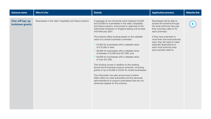| <b>Scheme name</b>                | Who it's for                                               | <b>Details</b>                                                                                                                                                                                                                                                                                                                                                                                                                                                                                                                                                                                                                                                                                                                                                                                                                                                                                                                                | <b>Application process</b>                                                                                                                                                                                                                                                                                               | <b>Website link</b> |
|-----------------------------------|------------------------------------------------------------|-----------------------------------------------------------------------------------------------------------------------------------------------------------------------------------------------------------------------------------------------------------------------------------------------------------------------------------------------------------------------------------------------------------------------------------------------------------------------------------------------------------------------------------------------------------------------------------------------------------------------------------------------------------------------------------------------------------------------------------------------------------------------------------------------------------------------------------------------------------------------------------------------------------------------------------------------|--------------------------------------------------------------------------------------------------------------------------------------------------------------------------------------------------------------------------------------------------------------------------------------------------------------------------|---------------------|
| One-off top-up<br>lockdown grants | Businesses in the retail, hospitality and leisure sectors. | A package of one-off grants worth between £4,000<br>and £9,000 for businesses in the retail, hospitality<br>and leisure sectors, announced in response to the<br>nationwide lockdown in England lasting until at least<br>mid-February 2021.<br>The scheme offers funding based on the rateable<br>value of a closed business's premises:<br>• £4,000 for businesses with a rateable value<br>of £15,000 or less;<br>• £6,000 for businesses with a rateable value<br>of between £15,000 and £51,000; and<br>• £9,000 for businesses with a rateable value<br>of over £51,000.<br>This funding comes in addition to the existing<br>Government business support schemes, including<br>grants of up to £3,000 a month for closed businesses.<br>The Chancellor has also announced a further<br>£594 million for local authorities and the devolved<br>administrations to support businesses that are not<br>otherwise eligible for the scheme. | Businesses will be able to<br>access the scheme through<br>the local authority they pay<br>their business rates to for<br>each premises.<br>If they have premises in<br>more than one local authority<br>area, they will need to make<br>separate applications to<br>each local authority they<br>pay business rates to. |                     |